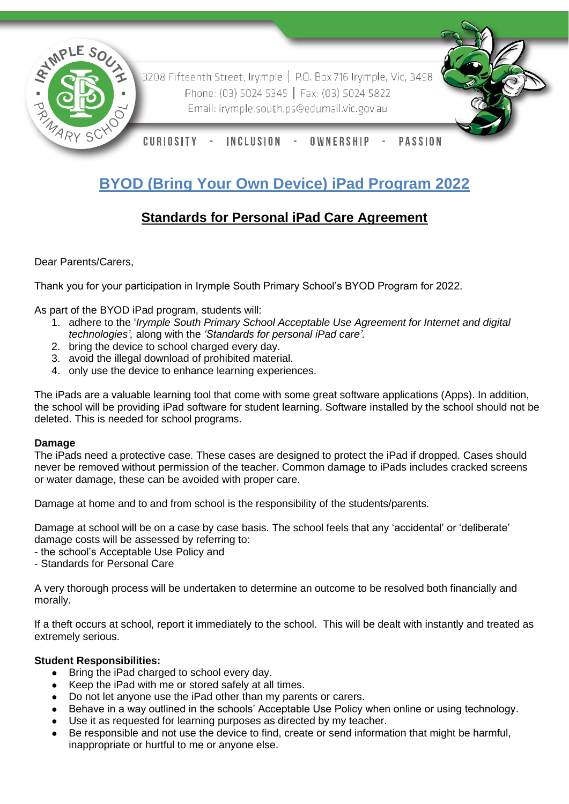

3208 Fifteenth Street, Irymple | P.O. Box 716 Irymple, Vic, 3498 Phone: (03) 5024 5345 | Fax: (03) 5024 5822 Email: irymple.south.ps@edumail.vic.gov.au



CURIOSITY **INCLUSION** OWNERSHIP **PASSION** 

# **BYOD (Bring Your Own Device) iPad Program 2022**

# **Standards for Personal iPad Care Agreement**

Dear Parents/Carers,

Thank you for your participation in Irymple South Primary School's BYOD Program for 2022.

As part of the BYOD iPad program, students will:

- 1. adhere to the '*Irymple South Primary School Acceptable Use Agreement for Internet and digital technologies',* along with the *'Standards for personal iPad care'.*
- 2. bring the device to school charged every day.
- 3. avoid the illegal download of prohibited material.
- 4. only use the device to enhance learning experiences.

The iPads are a valuable learning tool that come with some great software applications (Apps). In addition, the school will be providing iPad software for student learning. Software installed by the school should not be deleted. This is needed for school programs.

# **Damage**

The iPads need a protective case. These cases are designed to protect the iPad if dropped. Cases should never be removed without permission of the teacher. Common damage to iPads includes cracked screens or water damage, these can be avoided with proper care.

Damage at home and to and from school is the responsibility of the students/parents.

Damage at school will be on a case by case basis. The school feels that any 'accidental' or 'deliberate' damage costs will be assessed by referring to:

- the school's Acceptable Use Policy and
- Standards for Personal Care

A very thorough process will be undertaken to determine an outcome to be resolved both financially and morally.

If a theft occurs at school, report it immediately to the school. This will be dealt with instantly and treated as extremely serious.

# **Student Responsibilities:**

- Bring the iPad charged to school every day.
- Keep the iPad with me or stored safely at all times.
- Do not let anyone use the iPad other than my parents or carers.
- Behave in a way outlined in the schools' Acceptable Use Policy when online or using technology.
- Use it as requested for learning purposes as directed by my teacher.
- Be responsible and not use the device to find, create or send information that might be harmful, inappropriate or hurtful to me or anyone else.